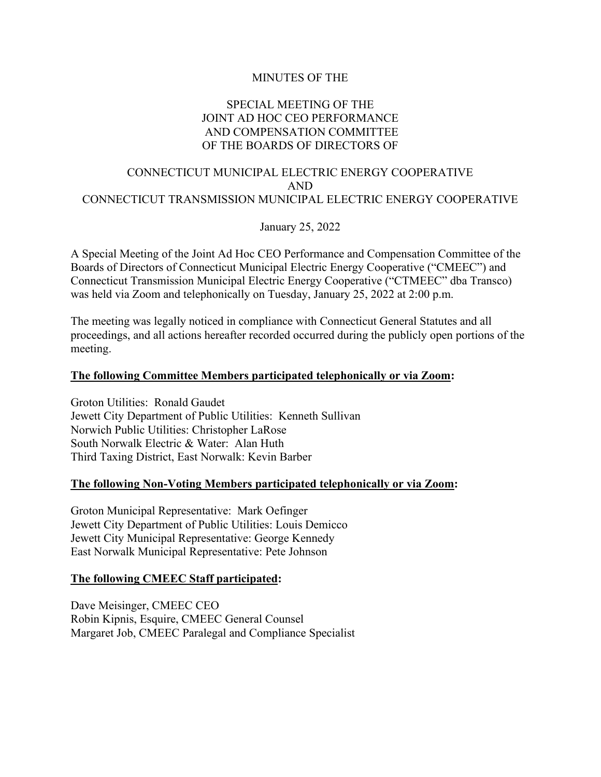# MINUTES OF THE

# SPECIAL MEETING OF THE JOINT AD HOC CEO PERFORMANCE AND COMPENSATION COMMITTEE OF THE BOARDS OF DIRECTORS OF

# CONNECTICUT MUNICIPAL ELECTRIC ENERGY COOPERATIVE AND CONNECTICUT TRANSMISSION MUNICIPAL ELECTRIC ENERGY COOPERATIVE

January 25, 2022

A Special Meeting of the Joint Ad Hoc CEO Performance and Compensation Committee of the Boards of Directors of Connecticut Municipal Electric Energy Cooperative ("CMEEC") and Connecticut Transmission Municipal Electric Energy Cooperative ("CTMEEC" dba Transco) was held via Zoom and telephonically on Tuesday, January 25, 2022 at 2:00 p.m.

The meeting was legally noticed in compliance with Connecticut General Statutes and all proceedings, and all actions hereafter recorded occurred during the publicly open portions of the meeting.

## **The following Committee Members participated telephonically or via Zoom:**

Groton Utilities: Ronald Gaudet Jewett City Department of Public Utilities: Kenneth Sullivan Norwich Public Utilities: Christopher LaRose South Norwalk Electric & Water: Alan Huth Third Taxing District, East Norwalk: Kevin Barber

### **The following Non-Voting Members participated telephonically or via Zoom:**

Groton Municipal Representative: Mark Oefinger Jewett City Department of Public Utilities: Louis Demicco Jewett City Municipal Representative: George Kennedy East Norwalk Municipal Representative: Pete Johnson

### **The following CMEEC Staff participated:**

Dave Meisinger, CMEEC CEO Robin Kipnis, Esquire, CMEEC General Counsel Margaret Job, CMEEC Paralegal and Compliance Specialist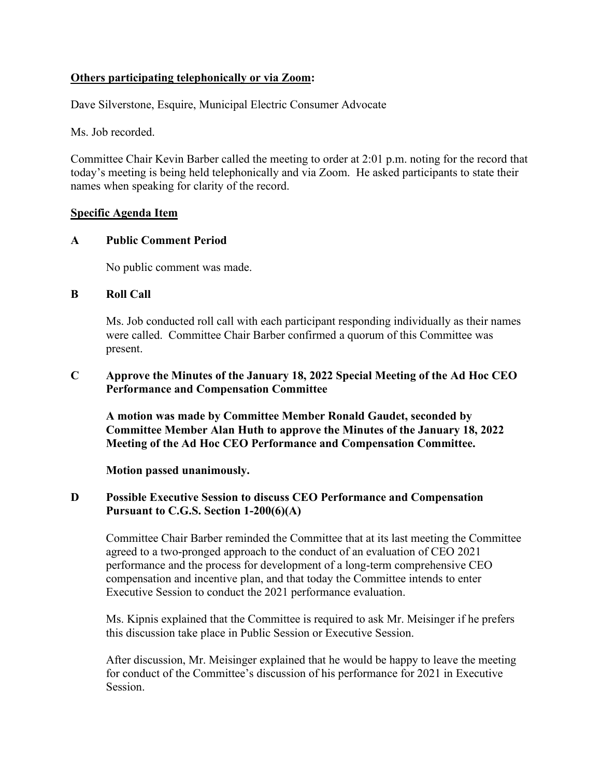# **Others participating telephonically or via Zoom:**

Dave Silverstone, Esquire, Municipal Electric Consumer Advocate

Ms. Job recorded.

Committee Chair Kevin Barber called the meeting to order at 2:01 p.m. noting for the record that today's meeting is being held telephonically and via Zoom. He asked participants to state their names when speaking for clarity of the record.

## **Specific Agenda Item**

## **A Public Comment Period**

No public comment was made.

## **B Roll Call**

Ms. Job conducted roll call with each participant responding individually as their names were called. Committee Chair Barber confirmed a quorum of this Committee was present.

## **C Approve the Minutes of the January 18, 2022 Special Meeting of the Ad Hoc CEO Performance and Compensation Committee**

**A motion was made by Committee Member Ronald Gaudet, seconded by Committee Member Alan Huth to approve the Minutes of the January 18, 2022 Meeting of the Ad Hoc CEO Performance and Compensation Committee.**

**Motion passed unanimously.**

# **D Possible Executive Session to discuss CEO Performance and Compensation Pursuant to C.G.S. Section 1-200(6)(A)**

Committee Chair Barber reminded the Committee that at its last meeting the Committee agreed to a two-pronged approach to the conduct of an evaluation of CEO 2021 performance and the process for development of a long-term comprehensive CEO compensation and incentive plan, and that today the Committee intends to enter Executive Session to conduct the 2021 performance evaluation.

Ms. Kipnis explained that the Committee is required to ask Mr. Meisinger if he prefers this discussion take place in Public Session or Executive Session.

After discussion, Mr. Meisinger explained that he would be happy to leave the meeting for conduct of the Committee's discussion of his performance for 2021 in Executive Session.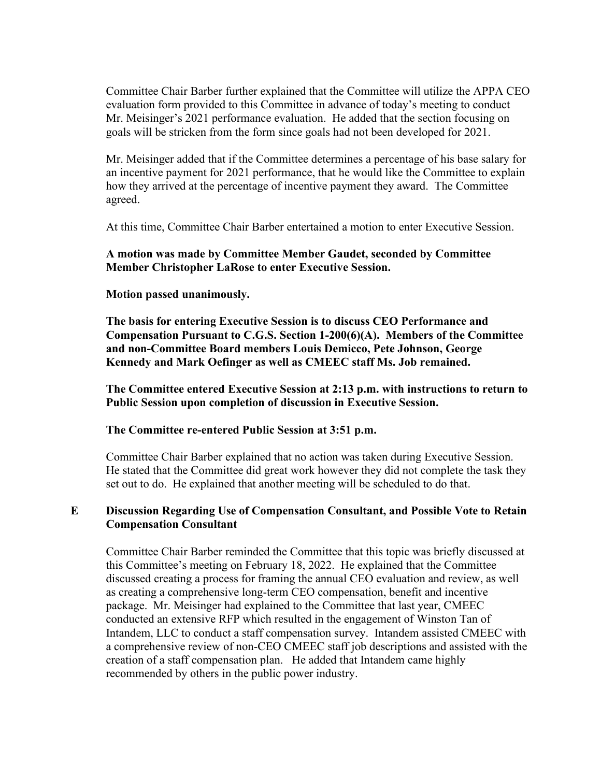Committee Chair Barber further explained that the Committee will utilize the APPA CEO evaluation form provided to this Committee in advance of today's meeting to conduct Mr. Meisinger's 2021 performance evaluation. He added that the section focusing on goals will be stricken from the form since goals had not been developed for 2021.

Mr. Meisinger added that if the Committee determines a percentage of his base salary for an incentive payment for 2021 performance, that he would like the Committee to explain how they arrived at the percentage of incentive payment they award. The Committee agreed.

At this time, Committee Chair Barber entertained a motion to enter Executive Session.

# **A motion was made by Committee Member Gaudet, seconded by Committee Member Christopher LaRose to enter Executive Session.**

## **Motion passed unanimously.**

**The basis for entering Executive Session is to discuss CEO Performance and Compensation Pursuant to C.G.S. Section 1-200(6)(A). Members of the Committee and non-Committee Board members Louis Demicco, Pete Johnson, George Kennedy and Mark Oefinger as well as CMEEC staff Ms. Job remained.**

**The Committee entered Executive Session at 2:13 p.m. with instructions to return to Public Session upon completion of discussion in Executive Session.**

### **The Committee re-entered Public Session at 3:51 p.m.**

Committee Chair Barber explained that no action was taken during Executive Session. He stated that the Committee did great work however they did not complete the task they set out to do. He explained that another meeting will be scheduled to do that.

## **E Discussion Regarding Use of Compensation Consultant, and Possible Vote to Retain Compensation Consultant**

Committee Chair Barber reminded the Committee that this topic was briefly discussed at this Committee's meeting on February 18, 2022. He explained that the Committee discussed creating a process for framing the annual CEO evaluation and review, as well as creating a comprehensive long-term CEO compensation, benefit and incentive package. Mr. Meisinger had explained to the Committee that last year, CMEEC conducted an extensive RFP which resulted in the engagement of Winston Tan of Intandem, LLC to conduct a staff compensation survey. Intandem assisted CMEEC with a comprehensive review of non-CEO CMEEC staff job descriptions and assisted with the creation of a staff compensation plan. He added that Intandem came highly recommended by others in the public power industry.